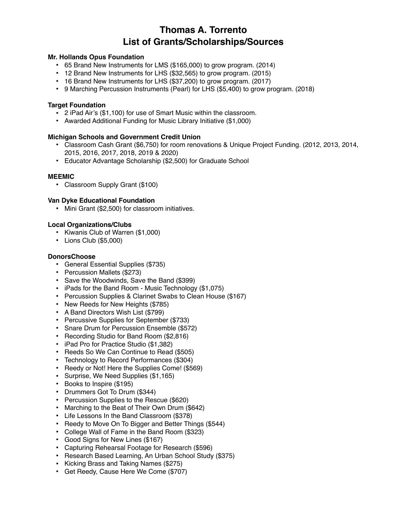# **Thomas A. Torrento List of Grants/Scholarships/Sources**

#### **Mr. Hollands Opus Foundation**

- 65 Brand New Instruments for LMS (\$165,000) to grow program. (2014)
- 12 Brand New Instruments for LHS (\$32,565) to grow program. (2015)
- 16 Brand New Instruments for LHS (\$37,200) to grow program. (2017)
- 9 Marching Percussion Instruments (Pearl) for LHS (\$5,400) to grow program. (2018)

### **Target Foundation**

- 2 iPad Air's (\$1,100) for use of Smart Music within the classroom.
- Awarded Additional Funding for Music Library Initiative (\$1,000)

### **Michigan Schools and Government Credit Union**

- Classroom Cash Grant (\$6,750) for room renovations & Unique Project Funding. (2012, 2013, 2014, 2015, 2016, 2017, 2018, 2019 & 2020)
- Educator Advantage Scholarship (\$2,500) for Graduate School

### **MEEMIC**

• Classroom Supply Grant (\$100)

### **Van Dyke Educational Foundation**

• Mini Grant (\$2,500) for classroom initiatives.

### **Local Organizations/Clubs**

- Kiwanis Club of Warren (\$1,000)
- Lions Club (\$5,000)

### **DonorsChoose**

- General Essential Supplies (\$735)
- Percussion Mallets (\$273)
- Save the Woodwinds, Save the Band (\$399)
- iPads for the Band Room Music Technology (\$1,075)
- Percussion Supplies & Clarinet Swabs to Clean House (\$167)
- New Reeds for New Heights (\$785)
- A Band Directors Wish List (\$799)
- Percussive Supplies for September (\$733)
- Snare Drum for Percussion Ensemble (\$572)
- Recording Studio for Band Room (\$2,816)
- iPad Pro for Practice Studio (\$1,382)
- Reeds So We Can Continue to Read (\$505)
- Technology to Record Performances (\$304)
- Reedy or Not! Here the Supplies Come! (\$569)
- Surprise, We Need Supplies (\$1,165)
- Books to Inspire (\$195)
- Drummers Got To Drum (\$344)
- Percussion Supplies to the Rescue (\$620)
- Marching to the Beat of Their Own Drum (\$642)
- Life Lessons In the Band Classroom (\$378)
- Reedy to Move On To Bigger and Better Things (\$544)
- College Wall of Fame in the Band Room (\$323)
- Good Signs for New Lines (\$167)
- Capturing Rehearsal Footage for Research (\$596)
- Research Based Learning, An Urban School Study (\$375)
- Kicking Brass and Taking Names (\$275)
- Get Reedy, Cause Here We Come (\$707)